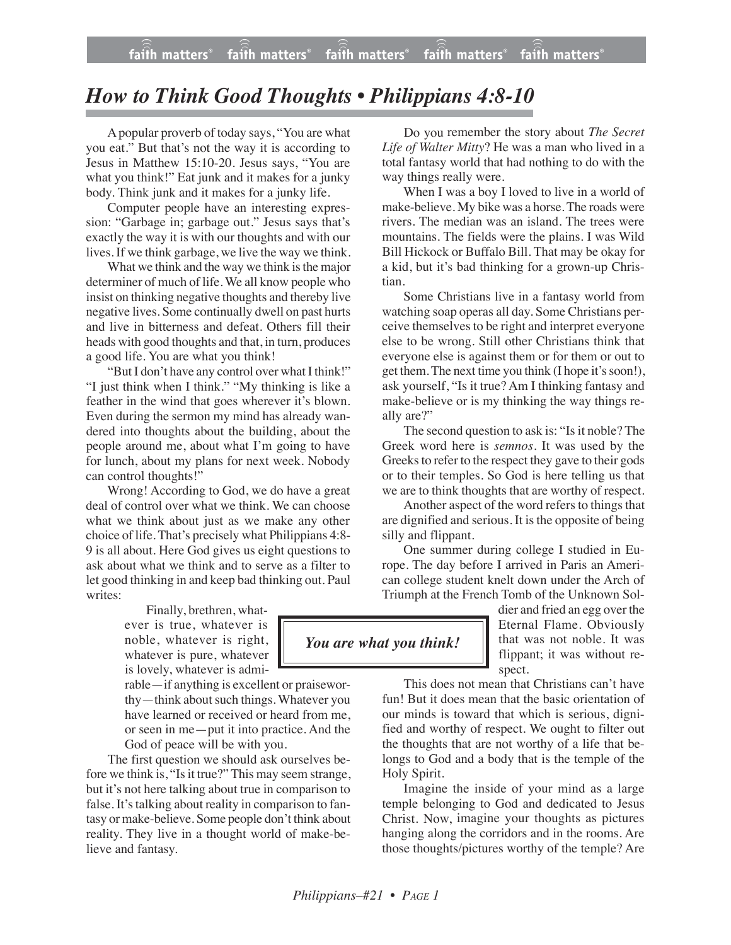## *How to Think Good Thoughts • Philippians 4:8-10*

Apopular proverb of today says, "You are what you eat." But that's not the way it is according to Jesus in Matthew 15:10-20. Jesus says, "You are what you think!" Eat junk and it makes for a junky body. Think junk and it makes for a junky life.

Computer people have an interesting expression: "Garbage in; garbage out." Jesus says that's exactly the way it is with our thoughts and with our lives. If we think garbage, we live the way we think.

What we think and the way we think is the major determiner of much of life. We all know people who insist on thinking negative thoughts and thereby live negative lives. Some continually dwell on past hurts and live in bitterness and defeat. Others fill their heads with good thoughts and that, in turn, produces a good life. You are what you think!

"But I don't have any control over what I think!" "I just think when I think." "My thinking is like a feather in the wind that goes wherever it's blown. Even during the sermon my mind has already wandered into thoughts about the building, about the people around me, about what I'm going to have for lunch, about my plans for next week. Nobody can control thoughts!"

Wrong! According to God, we do have a great deal of control over what we think. We can choose what we think about just as we make any other choice of life. That's precisely what Philippians 4:8- 9 is all about. Here God gives us eight questions to ask about what we think and to serve as a filter to let good thinking in and keep bad thinking out. Paul writes:

> Finally, brethren, whatever is true, whatever is noble, whatever is right, whatever is pure, whatever is lovely, whatever is admi-

rable—if anything is excellent or praiseworthy—think about such things. Whatever you have learned or received or heard from me, or seen in me—put it into practice. And the God of peace will be with you.

The first question we should ask ourselves before we think is, "Is it true?" This may seem strange, but it's not here talking about true in comparison to false. It's talking about reality in comparison to fantasy or make-believe. Some people don't think about reality. They live in a thought world of make-believe and fantasy.

Do you remember the story about *The Secret Life of Walter Mitty*? He was a man who lived in a total fantasy world that had nothing to do with the way things really were.

When I was a boy I loved to live in a world of make-believe. My bike was a horse. The roads were rivers. The median was an island. The trees were mountains. The fields were the plains. I was Wild Bill Hickock or Buffalo Bill. That may be okay for a kid, but it's bad thinking for a grown-up Christian.

Some Christians live in a fantasy world from watching soap operas all day. Some Christians perceive themselves to be right and interpret everyone else to be wrong. Still other Christians think that everyone else is against them or for them or out to get them. The next time you think (I hope it's soon!), ask yourself, "Is it true? Am I thinking fantasy and make-believe or is my thinking the way things really are?"

The second question to ask is: "Is it noble? The Greek word here is *semnos*. It was used by the Greeks to refer to the respect they gave to their gods or to their temples. So God is here telling us that we are to think thoughts that are worthy of respect.

Another aspect of the word refers to things that are dignified and serious. It is the opposite of being silly and flippant.

One summer during college I studied in Europe. The day before I arrived in Paris an American college student knelt down under the Arch of Triumph at the French Tomb of the Unknown Sol-

> dier and fried an egg over the Eternal Flame. Obviously that was not noble. It was flippant; it was without respect.

This does not mean that Christians can't have fun! But it does mean that the basic orientation of our minds is toward that which is serious, dignified and worthy of respect. We ought to filter out the thoughts that are not worthy of a life that belongs to God and a body that is the temple of the Holy Spirit.

Imagine the inside of your mind as a large temple belonging to God and dedicated to Jesus Christ. Now, imagine your thoughts as pictures hanging along the corridors and in the rooms. Are those thoughts/pictures worthy of the temple? Are

## *You are what you think!*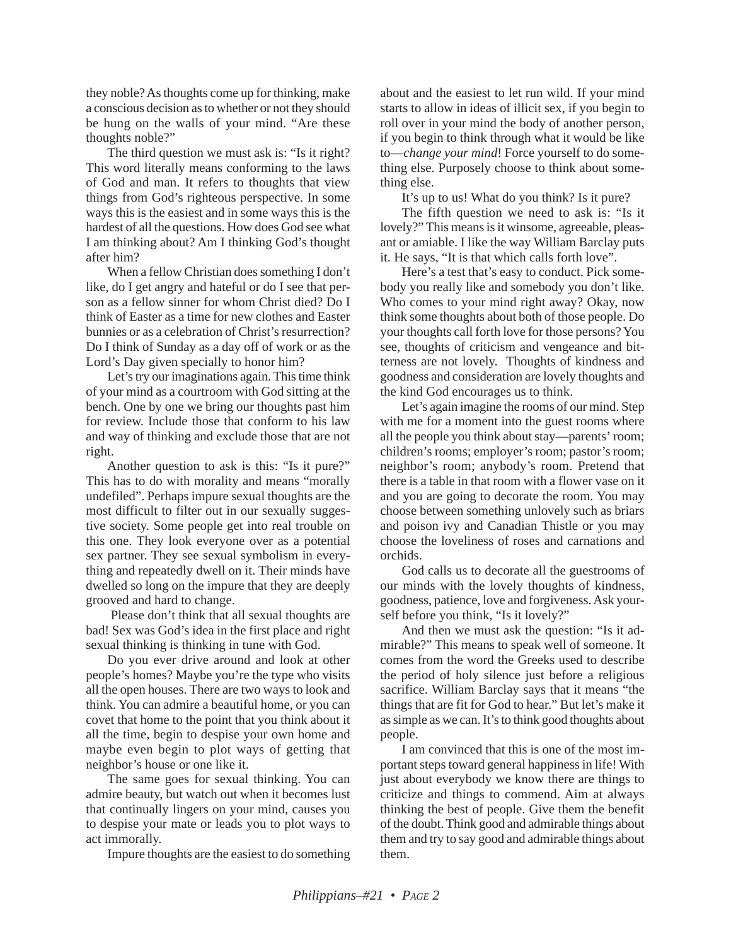they noble? As thoughts come up for thinking, make a conscious decision as to whether or not they should be hung on the walls of your mind. "Are these thoughts noble?"

The third question we must ask is: "Is it right? This word literally means conforming to the laws of God and man. It refers to thoughts that view things from God's righteous perspective. In some ways this is the easiest and in some ways this is the hardest of all the questions. How does God see what I am thinking about? Am I thinking God's thought after him?

When a fellow Christian does something I don't like, do I get angry and hateful or do I see that person as a fellow sinner for whom Christ died? Do I think of Easter as a time for new clothes and Easter bunnies or as a celebration of Christ's resurrection? Do I think of Sunday as a day off of work or as the Lord's Day given specially to honor him?

Let's try our imaginations again. This time think of your mind as a courtroom with God sitting at the bench. One by one we bring our thoughts past him for review. Include those that conform to his law and way of thinking and exclude those that are not right.

Another question to ask is this: "Is it pure?" This has to do with morality and means "morally undefiled". Perhaps impure sexual thoughts are the most difficult to filter out in our sexually suggestive society. Some people get into real trouble on this one. They look everyone over as a potential sex partner. They see sexual symbolism in everything and repeatedly dwell on it. Their minds have dwelled so long on the impure that they are deeply grooved and hard to change.

Please don't think that all sexual thoughts are bad! Sex was God's idea in the first place and right sexual thinking is thinking in tune with God.

Do you ever drive around and look at other people's homes? Maybe you're the type who visits all the open houses. There are two ways to look and think. You can admire a beautiful home, or you can covet that home to the point that you think about it all the time, begin to despise your own home and maybe even begin to plot ways of getting that neighbor's house or one like it.

The same goes for sexual thinking. You can admire beauty, but watch out when it becomes lust that continually lingers on your mind, causes you to despise your mate or leads you to plot ways to act immorally.

Impure thoughts are the easiest to do something

about and the easiest to let run wild. If your mind starts to allow in ideas of illicit sex, if you begin to roll over in your mind the body of another person, if you begin to think through what it would be like to—*change your mind*! Force yourself to do something else. Purposely choose to think about something else.

It's up to us! What do you think? Is it pure?

The fifth question we need to ask is: "Is it lovely?" This means is it winsome, agreeable, pleasant or amiable. I like the way William Barclay puts it. He says, "It is that which calls forth love".

Here's a test that's easy to conduct. Pick somebody you really like and somebody you don't like. Who comes to your mind right away? Okay, now think some thoughts about both of those people. Do your thoughts call forth love for those persons? You see, thoughts of criticism and vengeance and bitterness are not lovely. Thoughts of kindness and goodness and consideration are lovely thoughts and the kind God encourages us to think.

Let's again imagine the rooms of our mind. Step with me for a moment into the guest rooms where all the people you think about stay—parents' room; children's rooms; employer's room; pastor's room; neighbor's room; anybody's room. Pretend that there is a table in that room with a flower vase on it and you are going to decorate the room. You may choose between something unlovely such as briars and poison ivy and Canadian Thistle or you may choose the loveliness of roses and carnations and orchids.

God calls us to decorate all the guestrooms of our minds with the lovely thoughts of kindness, goodness, patience, love and forgiveness. Ask yourself before you think, "Is it lovely?"

And then we must ask the question: "Is it admirable?" This means to speak well of someone. It comes from the word the Greeks used to describe the period of holy silence just before a religious sacrifice. William Barclay says that it means "the things that are fit for God to hear." But let's make it as simple as we can. It's to think good thoughts about people.

I am convinced that this is one of the most important steps toward general happiness in life! With just about everybody we know there are things to criticize and things to commend. Aim at always thinking the best of people. Give them the benefit of the doubt. Think good and admirable things about them and try to say good and admirable things about them.